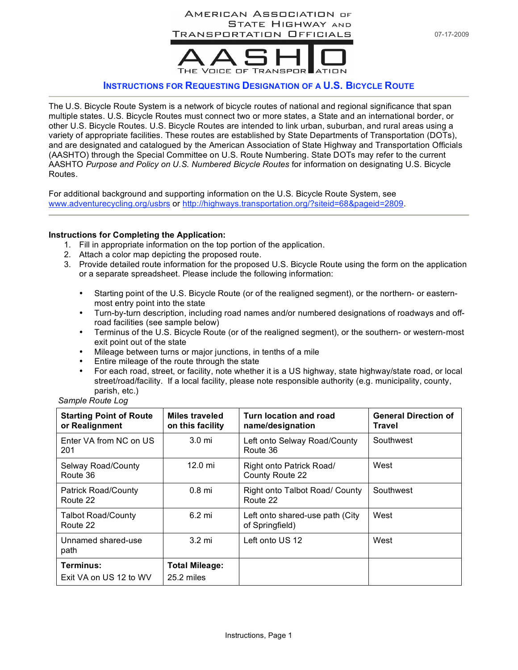

## **INSTRUCTIONS FOR REQUESTING DESIGNATION OF A U.S. BICYCLE ROUTE**

The U.S. Bicycle Route System is a network of bicycle routes of national and regional significance that span multiple states. U.S. Bicycle Routes must connect two or more states, a State and an international border, or other U.S. Bicycle Routes. U.S. Bicycle Routes are intended to link urban, suburban, and rural areas using a variety of appropriate facilities. These routes are established by State Departments of Transportation (DOTs), and are designated and catalogued by the American Association of State Highway and Transportation Officials (AASHTO) through the Special Committee on U.S. Route Numbering. State DOTs may refer to the current AASHTO *Purpose and Policy on U.S. Numbered Bicycle Routes* for information on designating U.S. Bicycle Routes.

For additional background and supporting information on the U.S. Bicycle Route System, see www.adventurecycling.org/usbrs or http://highways.transportation.org/?siteid=68&pageid=2809.

## **Instructions for Completing the Application:**

- 1. Fill in appropriate information on the top portion of the application.
- 2. Attach a color map depicting the proposed route.
- 3. Provide detailed route information for the proposed U.S. Bicycle Route using the form on the application or a separate spreadsheet. Please include the following information:
	- Starting point of the U.S. Bicycle Route (or of the realigned segment), or the northern- or easternmost entry point into the state
	- Turn-by-turn description, including road names and/or numbered designations of roadways and offroad facilities (see sample below)
	- Terminus of the U.S. Bicycle Route (or of the realigned segment), or the southern- or western-most exit point out of the state
	- Mileage between turns or major junctions, in tenths of a mile
	- Entire mileage of the route through the state
	- For each road, street, or facility, note whether it is a US highway, state highway/state road, or local street/road/facility. If a local facility, please note responsible authority (e.g. municipality, county, parish, etc.)

| Sample Route Log |  |  |
|------------------|--|--|
|------------------|--|--|

| <b>Starting Point of Route</b><br>or Realignment | Miles traveled<br>on this facility  | Turn location and road<br>name/designation         | <b>General Direction of</b><br>Travel |
|--------------------------------------------------|-------------------------------------|----------------------------------------------------|---------------------------------------|
| Enter VA from NC on US<br>201                    | $3.0 \text{ mi}$                    | Left onto Selway Road/County<br>Route 36           | Southwest                             |
| Selway Road/County<br>Route 36                   | 12.0 mi                             | Right onto Patrick Road/<br>County Route 22        | West                                  |
| <b>Patrick Road/County</b><br>Route 22           | $0.8$ mi                            | Right onto Talbot Road/ County<br>Route 22         | Southwest                             |
| <b>Talbot Road/County</b><br>Route 22            | $6.2 \text{ mi}$                    | Left onto shared-use path (City<br>of Springfield) | West                                  |
| Unnamed shared-use<br>path                       | $3.2 \text{ mi}$                    | Left onto US 12                                    | West                                  |
| Terminus:<br>Exit VA on US 12 to WV              | <b>Total Mileage:</b><br>25.2 miles |                                                    |                                       |